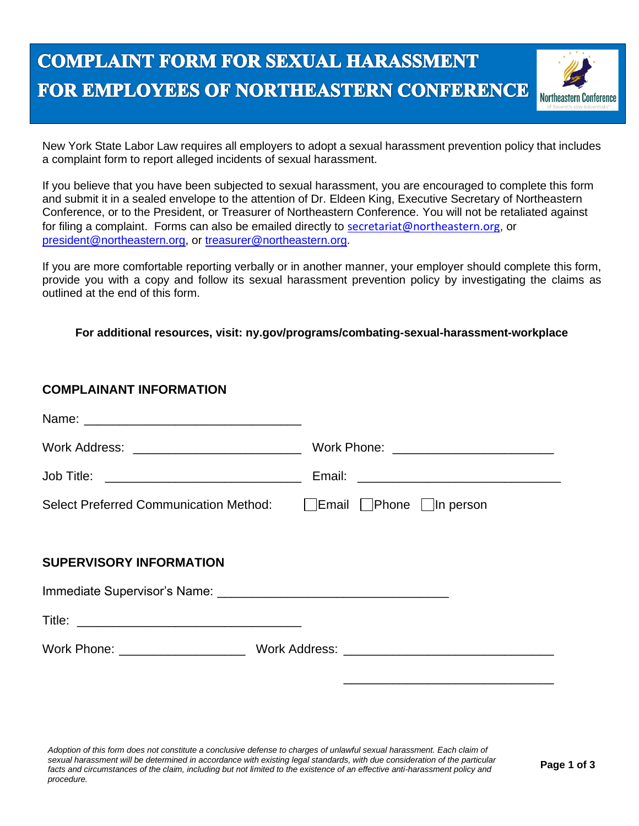## **COMPLAINT FORM FOR SEXUAL HARASSMENT** FOR EMPLOYEES OF NORTHEASTERN CONFERENCE



New York State Labor Law requires all employers to adopt a sexual harassment prevention policy that includes a complaint form to report alleged incidents of sexual harassment.

If you believe that you have been subjected to sexual harassment, you are encouraged to complete this form and submit it in a sealed envelope to the attention of Dr. Eldeen King, Executive Secretary of Northeastern Conference, or to the President, or Treasurer of Northeastern Conference. You will not be retaliated against for filing a complaint. Forms can also be emailed directly to [secretariat@northeastern.org](mailto:secretariat@northeastern.org), or [president@northeastern.org,](mailto:president@northeastern.org) or [treasurer@northeastern.org.](mailto:treasurer@northeastern.org)

If you are more comfortable reporting verbally or in another manner, your employer should complete this form, provide you with a copy and follow its sexual harassment prevention policy by investigating the claims as outlined at the end of this form.

**For additional resources, visit: ny.gov/programs/combating-sexual-harassment-workplace**

## **COMPLAINANT INFORMATION**

| Work Address: _______________________________ | Work Phone: __________________________                            |
|-----------------------------------------------|-------------------------------------------------------------------|
|                                               |                                                                   |
|                                               | Select Preferred Communication Method: Figure   Phone   In person |
| <b>SUPERVISORY INFORMATION</b>                |                                                                   |
|                                               |                                                                   |
|                                               |                                                                   |
|                                               |                                                                   |
|                                               |                                                                   |

*Adoption of this form does not constitute a conclusive defense to charges of unlawful sexual harassment. Each claim of*  sexual harassment will be determined in accordance with existing legal standards, with due consideration of the particular facts and circumstances of the claim, including but not limited to the existence of an effective anti-harassment policy and *procedure.*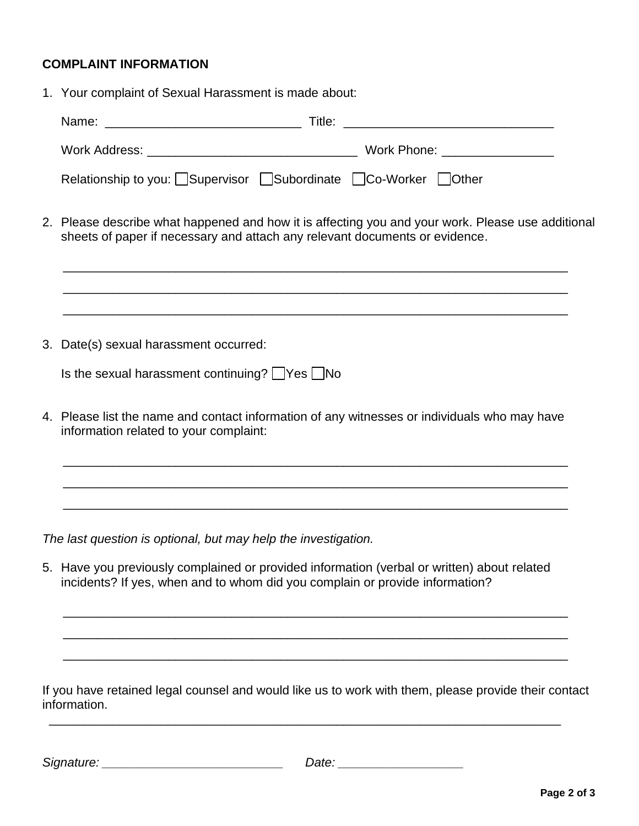## **COMPLAINT INFORMATION**

1. Your complaint of Sexual Harassment is made about:

| Relationship to you: Supervisor Subordinate Co-Worker Other                                                                                                                      |
|----------------------------------------------------------------------------------------------------------------------------------------------------------------------------------|
| 2. Please describe what happened and how it is affecting you and your work. Please use additional<br>sheets of paper if necessary and attach any relevant documents or evidence. |
|                                                                                                                                                                                  |
| 3. Date(s) sexual harassment occurred:                                                                                                                                           |
| Is the sexual harassment continuing? $\Box$ Yes $\Box$ No                                                                                                                        |
| 4. Please list the name and contact information of any witnesses or individuals who may have<br>information related to your complaint:                                           |
| <u> 1989 - Andrea Santana, amerikana amerikana amerikana amerikana amerikana amerikana amerikana amerikana amerik</u>                                                            |
| The last question is optional, but may help the investigation.                                                                                                                   |
| 5. Have you previously complained or provided information (verbal or written) about related<br>incidents? If yes, when and to whom did you complain or provide information?      |
|                                                                                                                                                                                  |

If you have retained legal counsel and would like us to work with them, please provide their contact information.

\_\_\_\_\_\_\_\_\_\_\_\_\_\_\_\_\_\_\_\_\_\_\_\_\_\_\_\_\_\_\_\_\_\_\_\_\_\_\_\_\_\_\_\_\_\_\_\_\_\_\_\_\_\_\_\_\_\_\_\_\_\_\_\_\_\_\_\_\_\_\_\_\_

\_\_\_\_\_\_\_\_\_\_\_\_\_\_\_\_\_\_\_\_\_\_\_\_\_\_\_\_\_\_\_\_\_\_\_\_\_\_\_\_\_\_\_\_\_\_\_\_\_\_\_\_\_\_\_\_\_\_\_\_\_\_\_\_\_\_\_\_\_\_\_\_

*Signature: \_\_\_\_\_\_\_\_\_\_\_\_\_\_\_\_\_\_\_\_\_\_\_\_\_\_ Date: \_\_\_\_\_\_\_\_\_\_\_\_\_\_\_\_\_\_*